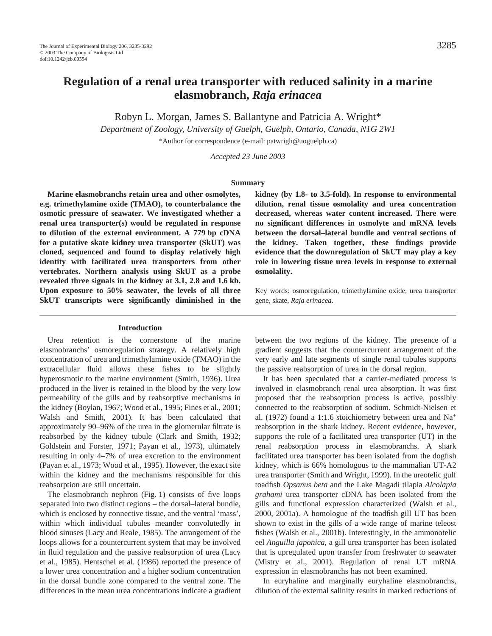# **Regulation of a renal urea transporter with reduced salinity in a marine elasmobranch,** *Raja erinacea*

Robyn L. Morgan, James S. Ballantyne and Patricia A. Wright\*

*Department of Zoology, University of Guelph, Guelph, Ontario, Canada, N1G 2W1*

\*Author for correspondence (e-mail: patwrigh@uoguelph.ca)

*Accepted 23 June 2003*

#### **Summary**

**Marine elasmobranchs retain urea and other osmolytes, e.g. trimethylamine oxide (TMAO), to counterbalance the osmotic pressure of seawater. We investigated whether a renal urea transporter(s) would be regulated in response to dilution of the external environment. A 779·bp cDNA for a putative skate kidney urea transporter (SkUT) was cloned, sequenced and found to display relatively high identity with facilitated urea transporters from other vertebrates. Northern analysis using SkUT as a probe** revealed three signals in the kidney at 3.1, 2.8 and 1.6 kb. **Upon exposure to 50% seawater, the levels of all three SkUT transcripts were significantly diminished in the**

#### **Introduction**

Urea retention is the cornerstone of the marine elasmobranchs' osmoregulation strategy. A relatively high concentration of urea and trimethylamine oxide (TMAO) in the extracellular fluid allows these fishes to be slightly hyperosmotic to the marine environment (Smith, 1936). Urea produced in the liver is retained in the blood by the very low permeability of the gills and by reabsorptive mechanisms in the kidney (Boylan, 1967; Wood et al., 1995; Fines et al., 2001; Walsh and Smith, 2001). It has been calculated that approximately 90–96% of the urea in the glomerular filtrate is reabsorbed by the kidney tubule (Clark and Smith, 1932; Goldstein and Forster, 1971; Payan et al., 1973), ultimately resulting in only 4–7% of urea excretion to the environment (Payan et al., 1973; Wood et al., 1995). However, the exact site within the kidney and the mechanisms responsible for this reabsorption are still uncertain.

The elasmobranch nephron (Fig. 1) consists of five loops separated into two distinct regions – the dorsal–lateral bundle, which is enclosed by connective tissue, and the ventral 'mass', within which individual tubules meander convolutedly in blood sinuses (Lacy and Reale, 1985). The arrangement of the loops allows for a countercurrent system that may be involved in fluid regulation and the passive reabsorption of urea (Lacy et al., 1985). Hentschel et al. (1986) reported the presence of a lower urea concentration and a higher sodium concentration in the dorsal bundle zone compared to the ventral zone. The differences in the mean urea concentrations indicate a gradient **kidney (by 1.8- to 3.5-fold). In response to environmental dilution, renal tissue osmolality and urea concentration decreased, whereas water content increased. There were no significant differences in osmolyte and mRNA levels between the dorsal–lateral bundle and ventral sections of the kidney. Taken together, these findings provide evidence that the downregulation of SkUT may play a key role in lowering tissue urea levels in response to external osmolality.**

Key words: osmoregulation, trimethylamine oxide, urea transporter gene, skate, *Raja erinacea*.

between the two regions of the kidney. The presence of a gradient suggests that the countercurrent arrangement of the very early and late segments of single renal tubules supports the passive reabsorption of urea in the dorsal region.

It has been speculated that a carrier-mediated process is involved in elasmobranch renal urea absorption. It was first proposed that the reabsorption process is active, possibly connected to the reabsorption of sodium. Schmidt-Nielsen et al. (1972) found a 1:1.6 stoichiometry between urea and Na<sup>+</sup> reabsorption in the shark kidney. Recent evidence, however, supports the role of a facilitated urea transporter (UT) in the renal reabsorption process in elasmobranchs. A shark facilitated urea transporter has been isolated from the dogfish kidney, which is 66% homologous to the mammalian UT-A2 urea transporter (Smith and Wright, 1999). In the ureotelic gulf toadfish *Opsanus beta* and the Lake Magadi tilapia *Alcolapia grahami* urea transporter cDNA has been isolated from the gills and functional expression characterized (Walsh et al., 2000, 2001a). A homologue of the toadfish gill UT has been shown to exist in the gills of a wide range of marine teleost fishes (Walsh et al., 2001b). Interestingly, in the ammonotelic eel *Anguilla japonica*, a gill urea transporter has been isolated that is upregulated upon transfer from freshwater to seawater (Mistry et al., 2001). Regulation of renal UT mRNA expression in elasmobranchs has not been examined.

In euryhaline and marginally euryhaline elasmobranchs, dilution of the external salinity results in marked reductions of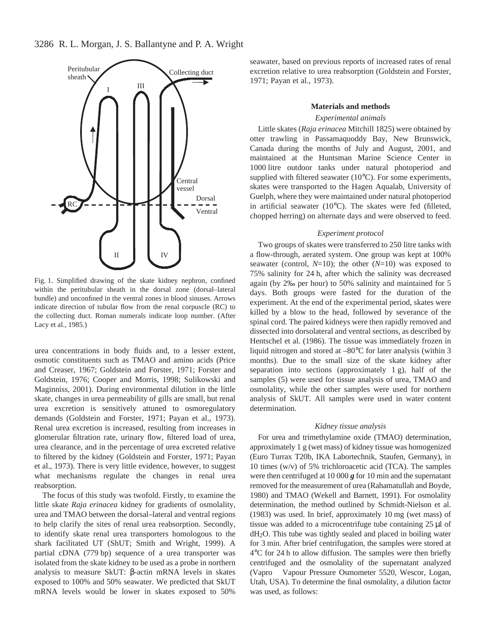

Fig. 1. Simplified drawing of the skate kidney nephron, confined within the peritubular sheath in the dorsal zone (dorsal–lateral bundle) and unconfined in the ventral zones in blood sinuses. Arrows indicate direction of tubular flow from the renal corpuscle (RC) to the collecting duct. Roman numerals indicate loop number. (After Lacy et al., 1985.)

urea concentrations in body fluids and, to a lesser extent, osmotic constituents such as TMAO and amino acids (Price and Creaser, 1967; Goldstein and Forster, 1971; Forster and Goldstein, 1976; Cooper and Morris, 1998; Sulikowski and Maginniss, 2001). During environmental dilution in the little skate, changes in urea permeability of gills are small, but renal urea excretion is sensitively attuned to osmoregulatory demands (Goldstein and Forster, 1971; Payan et al., 1973). Renal urea excretion is increased, resulting from increases in glomerular filtration rate, urinary flow, filtered load of urea, urea clearance, and in the percentage of urea excreted relative to filtered by the kidney (Goldstein and Forster, 1971; Payan et al., 1973). There is very little evidence, however, to suggest what mechanisms regulate the changes in renal urea reabsorption.

The focus of this study was twofold. Firstly, to examine the little skate *Raja erinacea* kidney for gradients of osmolality, urea and TMAO between the dorsal–lateral and ventral regions to help clarify the sites of renal urea reabsorption. Secondly, to identify skate renal urea transporters homologous to the shark facilitated UT (ShUT; Smith and Wright, 1999). A partial cDNA (779 bp) sequence of a urea transporter was isolated from the skate kidney to be used as a probe in northern analysis to measure SkUT:  $β$ -actin mRNA levels in skates exposed to 100% and 50% seawater. We predicted that SkUT mRNA levels would be lower in skates exposed to 50%

seawater, based on previous reports of increased rates of renal excretion relative to urea reabsorption (Goldstein and Forster, 1971; Payan et al., 1973).

#### **Materials and methods**

#### *Experimental animals*

Little skates (*Raja erinacea* Mitchill 1825) were obtained by otter trawling in Passamaquoddy Bay, New Brunswick, Canada during the months of July and August, 2001, and maintained at the Huntsman Marine Science Center in 1000 litre outdoor tanks under natural photoperiod and supplied with filtered seawater (10°C). For some experiments, skates were transported to the Hagen Aqualab, University of Guelph, where they were maintained under natural photoperiod in artificial seawater (10°C). The skates were fed (filleted, chopped herring) on alternate days and were observed to feed.

#### *Experiment protocol*

Two groups of skates were transferred to 250 litre tanks with a flow-through, aerated system. One group was kept at 100% seawater (control, *N*=10); the other (*N*=10) was exposed to 75% salinity for 24 h, after which the salinity was decreased again (by 2‰ per hour) to 50% salinity and maintained for 5 days. Both groups were fasted for the duration of the experiment. At the end of the experimental period, skates were killed by a blow to the head, followed by severance of the spinal cord. The paired kidneys were then rapidly removed and dissected into dorsolateral and ventral sections, as described by Hentschel et al. (1986). The tissue was immediately frozen in liquid nitrogen and stored at –80°C for later analysis (within 3 months). Due to the small size of the skate kidney after separation into sections (approximately  $1 g$ ), half of the samples (5) were used for tissue analysis of urea, TMAO and osmolality, while the other samples were used for northern analysis of SkUT. All samples were used in water content determination.

#### *Kidney tissue analysis*

For urea and trimethylamine oxide (TMAO) determination, approximately 1 g (wet mass) of kidney tissue was homogenized (Euro Turrax T20b, IKA Labortechnik, Staufen, Germany), in 10 times (w/v) of 5% trichloroacetic acid (TCA). The samples were then centrifuged at 10 000  $g$  for 10 min and the supernatant removed for the measurement of urea (Rahamatullah and Boyde, 1980) and TMAO (Wekell and Barnett, 1991). For osmolality determination, the method outlined by Schmidt-Nielson et al.  $(1983)$  was used. In brief, approximately 10 mg (wet mass) of tissue was added to a microcentrifuge tube containing  $25 \mu l$  of dH2O. This tube was tightly sealed and placed in boiling water for 3 min. After brief centrifugation, the samples were stored at  $4^{\circ}$ C for 24 h to allow diffusion. The samples were then briefly centrifuged and the osmolality of the supernatant analyzed (Vapro<sup>™</sup> Vapour Pressure Osmometer 5520, Wescor, Logan, Utah, USA). To determine the final osmolality, a dilution factor was used, as follows: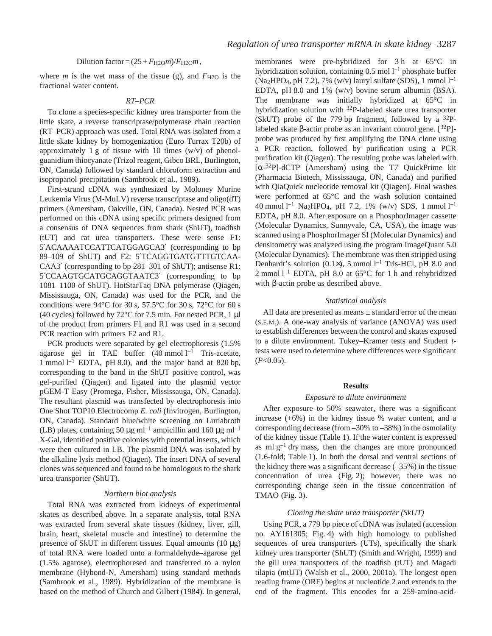#### Dilution factor =  $(25 + F_{H2O}m)/F_{H2O}m$ ,

where *m* is the wet mass of the tissue (g), and  $F_{\text{H2O}}$  is the fractional water content.

## *RT–PCR*

To clone a species-specific kidney urea transporter from the little skate, a reverse transcriptase/polymerase chain reaction (RT–PCR) approach was used. Total RNA was isolated from a little skate kidney by homogenization (Euro Turrax T20b) of approximately 1 g of tissue with 10 times  $(w/v)$  of phenolguanidium thiocyanate (Trizol reagent, Gibco BRL, Burlington, ON, Canada) followed by standard chloroform extraction and isopropanol precipitation (Sambrook et al., 1989).

First-strand cDNA was synthesized by Moloney Murine Leukemia Virus (M-MuLV) reverse transcriptase and oligo(dT) primers (Amersham, Oakville, ON, Canada). Nested PCR was performed on this cDNA using specific primers designed from a consensus of DNA sequences from shark (ShUT), toadfish (tUT) and rat urea transporters. These were sense F1: 5′ACAAAATCCATTCATGGAGCA3′ (corresponding to bp 89–109 of ShUT) and F2: 5′TCAGGTGATGTTTGTCAA-CAA3′ (corresponding to bp 281–301 of ShUT); antisense R1: 5′CCAAGTGCATGCAGGTAATC3′ (corresponding to bp 1081–1100 of ShUT). HotStarTaq DNA polymerase (Qiagen, Mississauga, ON, Canada) was used for the PCR, and the conditions were 94 $\degree$ C for 30 s, 57.5 $\degree$ C for 30 s, 72 $\degree$ C for 60 s (40 cycles) followed by  $72^{\circ}$ C for 7.5 min. For nested PCR, 1 µl of the product from primers F1 and R1 was used in a second PCR reaction with primers F2 and R1.

PCR products were separated by gel electrophoresis (1.5% agarose gel in TAE buffer  $(40 \text{ mmol } l^{-1}$  Tris-acetate, 1 mmol<sup>1-1</sup> EDTA, pH 8.0), and the major band at 820 bp, corresponding to the band in the ShUT positive control, was gel-purified (Qiagen) and ligated into the plasmid vector pGEM-T Easy (Promega, Fisher, Mississauga, ON, Canada). The resultant plasmid was transfected by electrophoresis into One Shot TOP10 Electrocomp *E. coli* (Invitrogen, Burlington, ON, Canada). Standard blue/white screening on Luriabroth (LB) plates, containing 50  $\mu$ g ml<sup>-1</sup> ampicillin and 160  $\mu$ g ml<sup>-1</sup> X-Gal, identified positive colonies with potential inserts, which were then cultured in LB. The plasmid DNA was isolated by the alkaline lysis method (Qiagen). The insert DNA of several clones was sequenced and found to be homologous to the shark urea transporter (ShUT).

#### *Northern blot analysis*

Total RNA was extracted from kidneys of experimental skates as described above. In a separate analysis, total RNA was extracted from several skate tissues (kidney, liver, gill, brain, heart, skeletal muscle and intestine) to determine the presence of SkUT in different tissues. Equal amounts  $(10 \mu g)$ of total RNA were loaded onto a formaldehyde–agarose gel (1.5% agarose), electrophoresed and transferred to a nylon membrane (Hybond-N, Amersham) using standard methods (Sambrook et al., 1989). Hybridization of the membrane is based on the method of Church and Gilbert (1984). In general,

membranes were pre-hybridized for 3h at 65°C in hybridization solution, containing  $0.5$  mol  $l^{-1}$  phosphate buffer (Na<sub>2</sub>HPO<sub>4</sub>, pH 7.2), 7% (w/v) lauryl sulfate (SDS), 1 mmol  $l^{-1}$ EDTA, pH 8.0 and 1% (w/v) bovine serum albumin (BSA). The membrane was initially hybridized at 65°C in hybridization solution with <sup>32</sup>P-labeled skate urea transporter (SkUT) probe of the 779 bp fragment, followed by a  $32P$ labeled skate β-actin probe as an invariant control gene. [32P] probe was produced by first amplifying the DNA clone using a PCR reaction, followed by purification using a PCR purification kit (Qiagen). The resulting probe was labeled with  $[\alpha^{-32}P]$ -dCTP (Amersham) using the T7 QuickPrime kit (Pharmacia Biotech, Mississauga, ON, Canada) and purified with QiaQuick nucleotide removal kit (Qiagen). Final washes were performed at 65°C and the wash solution contained 40 mmol  $l^{-1}$  Na<sub>2</sub>HPO<sub>4</sub>, pH 7.2, 1% (w/v) SDS, 1 mmol  $l^{-1}$ EDTA, pH 8.0. After exposure on a PhosphorImager cassette (Molecular Dynamics, Sunnyvale, CA, USA), the image was scanned using a PhosphorImager SI (Molecular Dynamics) and densitometry was analyzed using the program ImageQuant 5.0 (Molecular Dynamics). The membrane was then stripped using Denhardt's solution  $(0.1\times)$ , 5 mmol  $l^{-1}$  Tris-HCl, pH 8.0 and 2 mmol<sup>1-1</sup> EDTA, pH 8.0 at 65 $\degree$ C for 1 h and rehybridized with β-actin probe as described above.

#### *Statistical analysis*

All data are presented as means  $\pm$  standard error of the mean (S.E.M.). A one-way analysis of variance (ANOVA) was used to establish differences between the control and skates exposed to a dilute environment. Tukey–Kramer tests and Student *t*tests were used to determine where differences were significant  $(P<0.05)$ .

#### **Results**

#### *Exposure to dilute environment*

After exposure to 50% seawater, there was a significant increase (+6%) in the kidney tissue % water content, and a corresponding decrease (from  $-30\%$  to  $-38\%$ ) in the osmolality of the kidney tissue (Table·1). If the water content is expressed as ml  $g^{-1}$  dry mass, then the changes are more pronounced (1.6-fold; Table·1). In both the dorsal and ventral sections of the kidney there was a significant decrease  $(-35%)$  in the tissue concentration of urea  $(Fig. 2)$ ; however, there was no corresponding change seen in the tissue concentration of TMAO (Fig.  $3$ ).

## *Cloning the skate urea transporter (SkUT)*

Using PCR, a 779 bp piece of cDNA was isolated (accession no. AY161305; Fig. 4) with high homology to published sequences of urea transporters (UTs), specifically the shark kidney urea transporter (ShUT) (Smith and Wright, 1999) and the gill urea transporters of the toadfish (tUT) and Magadi tilapia (mtUT) (Walsh et al., 2000, 2001a). The longest open reading frame (ORF) begins at nucleotide 2 and extends to the end of the fragment. This encodes for a 259-amino-acid-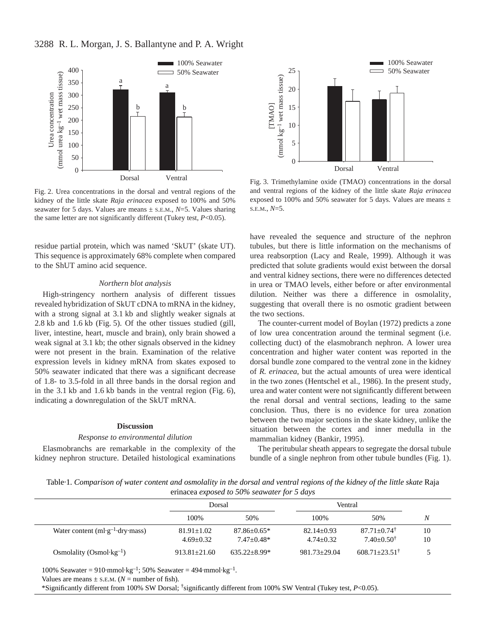

Fig. 2. Urea concentrations in the dorsal and ventral regions of the kidney of the little skate *Raja erinacea* exposed to 100% and 50% seawater for 5 days. Values are means  $\pm$  s.e.m.,  $N=5$ . Values sharing the same letter are not significantly different (Tukey test, *P*<0.05).

residue partial protein, which was named 'SkUT' (skate UT). This sequence is approximately 68% complete when compared to the ShUT amino acid sequence.

#### *Northern blot analysis*

High-stringency northern analysis of different tissues revealed hybridization of SkUT cDNA to mRNA in the kidney, with a strong signal at 3.1 kb and slightly weaker signals at 2.8 kb and 1.6 kb (Fig. 5). Of the other tissues studied (gill, liver, intestine, heart, muscle and brain), only brain showed a weak signal at 3.1 kb; the other signals observed in the kidney were not present in the brain. Examination of the relative expression levels in kidney mRNA from skates exposed to 50% seawater indicated that there was a significant decrease of 1.8- to 3.5-fold in all three bands in the dorsal region and in the 3.1 kb and 1.6 kb bands in the ventral region (Fig.  $6$ ), indicating a downregulation of the SkUT mRNA.

#### **Discussion**

#### *Response to environmental dilution*

Elasmobranchs are remarkable in the complexity of the kidney nephron structure. Detailed histological examinations



Fig. 3. Trimethylamine oxide (TMAO) concentrations in the dorsal and ventral regions of the kidney of the little skate *Raja erinacea* exposed to 100% and 50% seawater for 5 days. Values are means  $\pm$ S.E.M., *N*=5.

have revealed the sequence and structure of the nephron tubules, but there is little information on the mechanisms of urea reabsorption (Lacy and Reale, 1999). Although it was predicted that solute gradients would exist between the dorsal and ventral kidney sections, there were no differences detected in urea or TMAO levels, either before or after environmental dilution. Neither was there a difference in osmolality, suggesting that overall there is no osmotic gradient between the two sections.

The counter-current model of Boylan (1972) predicts a zone of low urea concentration around the terminal segment (i.e. collecting duct) of the elasmobranch nephron. A lower urea concentration and higher water content was reported in the dorsal bundle zone compared to the ventral zone in the kidney of *R. erinacea*, but the actual amounts of urea were identical in the two zones (Hentschel et al., 1986). In the present study, urea and water content were not significantly different between the renal dorsal and ventral sections, leading to the same conclusion. Thus, there is no evidence for urea zonation between the two major sections in the skate kidney, unlike the situation between the cortex and inner medulla in the mammalian kidney (Bankir, 1995).

The peritubular sheath appears to segregate the dorsal tubule bundle of a single nephron from other tubule bundles (Fig. 1).

Table·1. *Comparison of water content and osmolality in the dorsal and ventral regions of the kidney of the little skate* Raja erinacea *exposed to 50% seawater for 5 days*

|                                              | Dorsal           |                     |                | Ventral                    |    |
|----------------------------------------------|------------------|---------------------|----------------|----------------------------|----|
|                                              | 100\%            | 50%                 | 100\%          | 50%                        | N  |
| Water content $(ml·g-1·dry·mass)$            | $81.91 \pm 1.02$ | $87.86 \pm 0.65*$   | $82.14 + 0.93$ | $87.71 + 0.74^{\dagger}$   | 10 |
|                                              | $4.69 + 0.32$    | $7.47 + 0.48*$      | $4.74 + 0.32$  | $7.40+0.50^{\dagger}$      | 10 |
| Osmolality (Osmol $\cdot$ kg <sup>-1</sup> ) | $913.81 + 21.60$ | $635.22 \pm 8.99^*$ | 981.73+29.04   | $608.71 + 23.51^{\dagger}$ |    |

100% Seawater = 910·mmol·kg<sup>-1</sup>; 50% Seawater = 494·mmol·kg<sup>-1</sup>.

Values are means  $\pm$  s.e.m. ( $N =$  number of fish).

\*Significantly different from 100% SW Dorsal; †significantly different from 100% SW Ventral (Tukey test, *P*<0.05).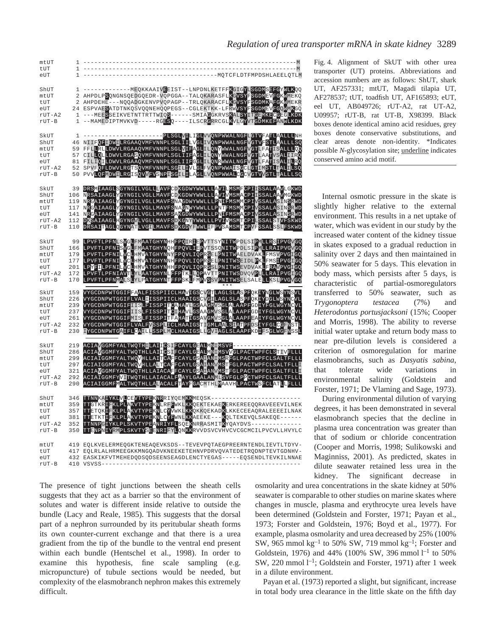

transporter (UT) proteins. Abbreviations and

accession numbers are as follows: ShUT, shark UT, AF257331; mtUT, Magadi tilapia UT, AF278537; tUT, toadfish UT, AF165893; eUT, eel UT, AB049726; rUT-A2, rat UT-A2, U09957; rUT-B, rat UT-B, X98399. Black boxes denote identical amino acid residues, grey boxes denote conservative substitutions, and clear areas denote non-identity. \*Indicates possible *N*-glycosylation site; underline indicates conserved amino acid motif.

Fig. 4. Alignment of SkUT with other urea

Internal osmotic pressure in the skate is slightly higher relative to the external environment. This results in a net uptake of water, which was evident in our study by the increased water content of the kidney tissue in skates exposed to a gradual reduction in salinity over 2 days and then maintained in 50% seawater for 5 days. This elevation in body mass, which persists after 5 days, is characteristic of partial-osmoregulators transferred to 50% seawater, such as *Trygonoptera testacea* (7%) and *Heterodontus portusjacksoni* (15%; Cooper and Morris, 1998). The ability to reverse initial water uptake and return body mass to near pre-dilution levels is considered a criterion of osmoregulation for marine elasmobranchs, such as *Dasyatis sabina*, that tolerate wide variations in environmental salinity (Goldstein and Forster, 1971; De Vlaming and Sage, 1973).

During environmental dilution of varying degrees, it has been demonstrated in several elasmobranch species that the decline in plasma urea concentration was greater than that of sodium or chloride concentration (Cooper and Morris, 1998; Sulikowski and Maginniss, 2001). As predicted, skates in dilute seawater retained less urea in the kidney. The significant decrease in

The presence of tight junctions between the sheath cells suggests that they act as a barrier so that the environment of solutes and water is different inside relative to outside the bundle (Lacy and Reale, 1985). This suggests that the dorsal part of a nephron surrounded by its peritubular sheath forms its own counter-current exchange and that there is a urea gradient from the tip of the bundle to the ventral end present within each bundle (Hentschel et al., 1998). In order to examine this hypothesis, fine scale sampling (e.g. micropuncture) of tubule sections would be needed, but complexity of the elasmobranch nephron makes this extremely difficult.

osmolarity and urea concentrations in the skate kidney at 50% seawater is comparable to other studies on marine skates where changes in muscle, plasma and erythrocyte urea levels have been determined (Goldstein and Forster, 1971; Payan et al., 1973; Forster and Goldstein, 1976; Boyd et al., 1977). For example, plasma osmolarity and urea decreased by 25% (100% SW, 965 mmol  $kg^{-1}$  to 50% SW, 719 mmol  $kg^{-1}$ ; Forster and Goldstein, 1976) and 44% (100% SW, 396 mmol  $l^{-1}$  to 50% SW, 220 mmol  $l^{-1}$ ; Goldstein and Forster, 1971) after 1 week in a dilute environment.

Payan et al. (1973) reported a slight, but significant, increase in total body urea clearance in the little skate on the fifth day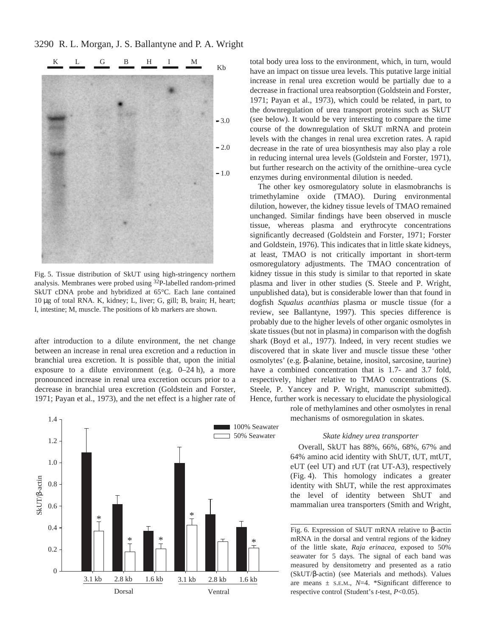# 3290 R. L. Morgan, J. S. Ballantyne and P. A. Wright



Fig. 5. Tissue distribution of SkUT using high-stringency northern analysis. Membranes were probed using 32P-labelled random-primed SkUT cDNA probe and hybridized at 65°C. Each lane contained 10 μg of total RNA. K, kidney; L, liver; G, gill; B, brain; H, heart; I, intestine; M, muscle. The positions of kb markers are shown.

after introduction to a dilute environment, the net change between an increase in renal urea excretion and a reduction in branchial urea excretion. It is possible that, upon the initial exposure to a dilute environment (e.g.  $0-24$  h), a more pronounced increase in renal urea excretion occurs prior to a decrease in branchial urea excretion (Goldstein and Forster, 1971; Payan et al., 1973), and the net effect is a higher rate of



total body urea loss to the environment, which, in turn, would have an impact on tissue urea levels. This putative large initial increase in renal urea excretion would be partially due to a decrease in fractional urea reabsorption (Goldstein and Forster, 1971; Payan et al., 1973), which could be related, in part, to the downregulation of urea transport proteins such as SkUT (see below). It would be very interesting to compare the time course of the downregulation of SkUT mRNA and protein levels with the changes in renal urea excretion rates. A rapid decrease in the rate of urea biosynthesis may also play a role in reducing internal urea levels (Goldstein and Forster, 1971), but further research on the activity of the ornithine–urea cycle enzymes during environmental dilution is needed.

The other key osmoregulatory solute in elasmobranchs is trimethylamine oxide (TMAO). During environmental dilution, however, the kidney tissue levels of TMAO remained unchanged. Similar findings have been observed in muscle tissue, whereas plasma and erythrocyte concentrations significantly decreased (Goldstein and Forster, 1971; Forster and Goldstein, 1976). This indicates that in little skate kidneys, at least, TMAO is not critically important in short-term osmoregulatory adjustments. The TMAO concentration of kidney tissue in this study is similar to that reported in skate plasma and liver in other studies (S. Steele and P. Wright, unpublished data), but is considerable lower than that found in dogfish *Squalus acanthias* plasma or muscle tissue (for a review, see Ballantyne, 1997). This species difference is probably due to the higher levels of other organic osmolytes in skate tissues (but not in plasma) in comparison with the dogfish shark (Boyd et al., 1977). Indeed, in very recent studies we discovered that in skate liver and muscle tissue these 'other osmolytes' (e.g. β-alanine, betaine, inositol, sarcosine, taurine) have a combined concentration that is 1.7- and 3.7 fold, respectively, higher relative to TMAO concentrations (S. Steele, P. Yancey and P. Wright, manuscript submitted). Hence, further work is necessary to elucidate the physiological

role of methylamines and other osmolytes in renal mechanisms of osmoregulation in skates.

#### *Skate kidney urea transporter*

Overall, SkUT has 88%, 66%, 68%, 67% and 64% amino acid identity with ShUT, tUT, mtUT, eUT (eel UT) and rUT (rat UT-A3), respectively (Fig. 4). This homology indicates a greater identity with ShUT, while the rest approximates the level of identity between ShUT and mammalian urea transporters (Smith and Wright,

Fig. 6. Expression of SkUT mRNA relative to β-actin mRNA in the dorsal and ventral regions of the kidney of the little skate, *Raja erinacea*, exposed to 50% seawater for 5 days. The signal of each band was measured by densitometry and presented as a ratio (SkUT/β-actin) (see Materials and methods). Values are means  $\pm$  s.E.M.,  $N=4$ . \*Significant difference to respective control (Student's *t*-test, *P*<0.05).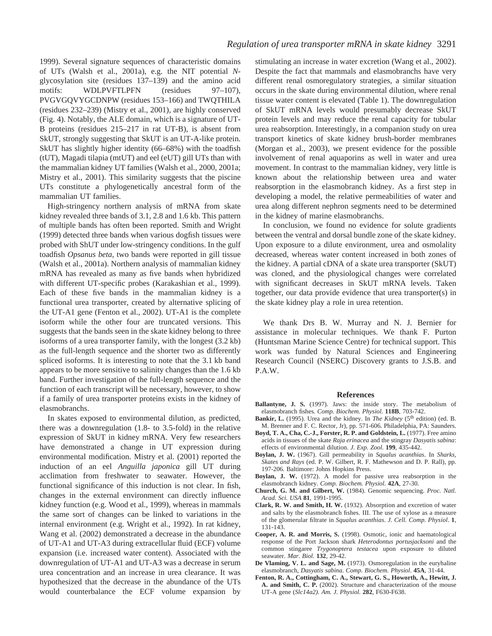1999). Several signature sequences of characteristic domains of UTs (Walsh et al., 2001a), e.g. the NIT potential *N*glycosylation site (residues 137–139) and the amino acid motifs: WDLPVFTLPFN (residues 97–107), PVGVGQVYGCDNPW (residues 153–166) and TWQTHILA (residues 232–239) (Mistry et al., 2001), are highly conserved (Fig. 4). Notably, the ALE domain, which is a signature of UT-B proteins (residues 215–217 in rat UT-B), is absent from SkUT, strongly suggesting that SkUT is an UT-A-like protein. SkUT has slightly higher identity (66–68%) with the toadfish (tUT), Magadi tilapia (mtUT) and eel (eUT) gill UTs than with the mammalian kidney UT families (Walsh et al., 2000, 2001a; Mistry et al., 2001). This similarity suggests that the piscine UTs constitute a phylogenetically ancestral form of the mammalian UT families.

High-stringency northern analysis of mRNA from skate kidney revealed three bands of 3.1, 2.8 and 1.6 kb. This pattern of multiple bands has often been reported. Smith and Wright (1999) detected three bands when various dogfish tissues were probed with ShUT under low-stringency conditions. In the gulf toadfish *Opsanus beta*, two bands were reported in gill tissue (Walsh et al., 2001a). Northern analysis of mammalian kidney mRNA has revealed as many as five bands when hybridized with different UT-specific probes (Karakashian et al., 1999). Each of these five bands in the mammalian kidney is a functional urea transporter, created by alternative splicing of the UT-A1 gene (Fenton et al., 2002). UT-A1 is the complete isoform while the other four are truncated versions. This suggests that the bands seen in the skate kidney belong to three isoforms of a urea transporter family, with the longest  $(3.2 \text{ kb})$ as the full-length sequence and the shorter two as differently spliced isoforms. It is interesting to note that the 3.1 kb band appears to be more sensitive to salinity changes than the 1.6·kb band. Further investigation of the full-length sequence and the function of each transcript will be necessary, however, to show if a family of urea transporter proteins exists in the kidney of elasmobranchs.

In skates exposed to environmental dilution, as predicted, there was a downregulation (1.8- to 3.5-fold) in the relative expression of SkUT in kidney mRNA. Very few researchers have demonstrated a change in UT expression during environmental modification. Mistry et al. (2001) reported the induction of an eel *Anguilla japonica* gill UT during acclimation from freshwater to seawater. However, the functional significance of this induction is not clear. In fish, changes in the external environment can directly influence kidney function (e.g. Wood et al., 1999), whereas in mammals the same sort of changes can be linked to variations in the internal environment (e.g. Wright et al., 1992). In rat kidney, Wang et al. (2002) demonstrated a decrease in the abundance of UT-A1 and UT-A3 during extracellular fluid (ECF) volume expansion (i.e. increased water content). Associated with the downregulation of UT-A1 and UT-A3 was a decrease in serum urea concentration and an increase in urea clearance. It was hypothesized that the decrease in the abundance of the UTs would counterbalance the ECF volume expansion by stimulating an increase in water excretion (Wang et al., 2002). Despite the fact that mammals and elasmobranchs have very different renal osmoregulatory strategies, a similar situation occurs in the skate during environmental dilution, where renal tissue water content is elevated (Table 1). The downregulation of SkUT mRNA levels would presumably decrease SkUT protein levels and may reduce the renal capacity for tubular urea reabsorption. Interestingly, in a companion study on urea transport kinetics of skate kidney brush-border membranes (Morgan et al., 2003), we present evidence for the possible involvement of renal aquaporins as well in water and urea movement. In contrast to the mammalian kidney, very little is known about the relationship between urea and water reabsorption in the elasmobranch kidney. As a first step in developing a model, the relative permeabilities of water and urea along different nephron segments need to be determined in the kidney of marine elasmobranchs.

In conclusion, we found no evidence for solute gradients between the ventral and dorsal bundle zone of the skate kidney. Upon exposure to a dilute environment, urea and osmolality decreased, whereas water content increased in both zones of the kidney. A partial cDNA of a skate urea transporter (SkUT) was cloned, and the physiological changes were correlated with significant decreases in SkUT mRNA levels. Taken together, our data provide evidence that urea transporter(s) in the skate kidney play a role in urea retention.

We thank Drs B. W. Murray and N. J. Bernier for assistance in molecular techniques. We thank F. Purton (Huntsman Marine Science Centre) for technical support. This work was funded by Natural Sciences and Engineering Research Council (NSERC) Discovery grants to J.S.B. and P.A.W.

#### **References**

- **Ballantyne, J. S.** (1997). Jaws: the inside story. The metabolism of elasmobranch fishes*. Comp. Biochem. Physiol.* **118B**, 703-742.
- Bankir, L. (1995). Urea and the kidney. In *The Kidney* (5<sup>th</sup> edition) (ed. B. M. Brenner and F. C. Rector, Jr), pp. 571-606. Philadelphia, PA: Saunders.
- **Boyd, T. A., Cha, C.-J., Forster, R. P. and Goldstein, L.** (1977). Free amino acids in tissues of the skate *Raja erinacea* and the stingray *Dasyatis sabina*: effects of environmental dilution. *J. Exp. Zool.* **199**, 435-442.
- **Boylan, J. W.** (1967). Gill permeability in *Squalus acanthias*. In *Sharks, Skates and Rays* (ed. P. W. Gilbert, R. F. Mathewson and D. P. Rall), pp. 197-206. Baltimore: Johns Hopkins Press.
- **Boylan, J. W.** (1972). A model for passive urea reabsorption in the elasmobranch kidney. *Comp. Biochem. Physiol.* **42A**, 27-30.
- **Church, G. M. and Gilbert, W.** (1984). Genomic sequencing. *Proc. Natl. Acad. Sci. USA* **81**, 1991-1995.
- **Clark, R. W. and Smith, H. W.** (1932). Absorption and excretion of water and salts by the elasmobranch fishes. III. The use of xylose as a measure of the glomerular filtrate in *Squalus acanthias*. *J. Cell. Comp. Physiol*. **1**, 131-143.
- **Cooper, A. R. and Morris, S.** (1998). Osmotic, ionic and haematological response of the Port Jackson shark *Heterodontus portusjacksoni* and the common stingaree *Trygonoptera testacea* upon exposure to diluted seawater. *Mar. Biol.* **132**, 29-42.
- **De Vlaming, V. L. and Sage, M.** (1973). Osmoregulation in the euryhaline elasmobranch, *Dasyatis sabina*. *Comp. Biochem. Physiol*. **45A**, 31-44.
- **Fenton, R. A., Cottingham, C. A., Stewart, G. S., Howorth, A., Hewitt, J. A. and Smith, C. P.** (2002). Structure and characterization of the mouse UT-A gene (*Slc14a2). Am. J. Physiol.* **282**, F630-F638.